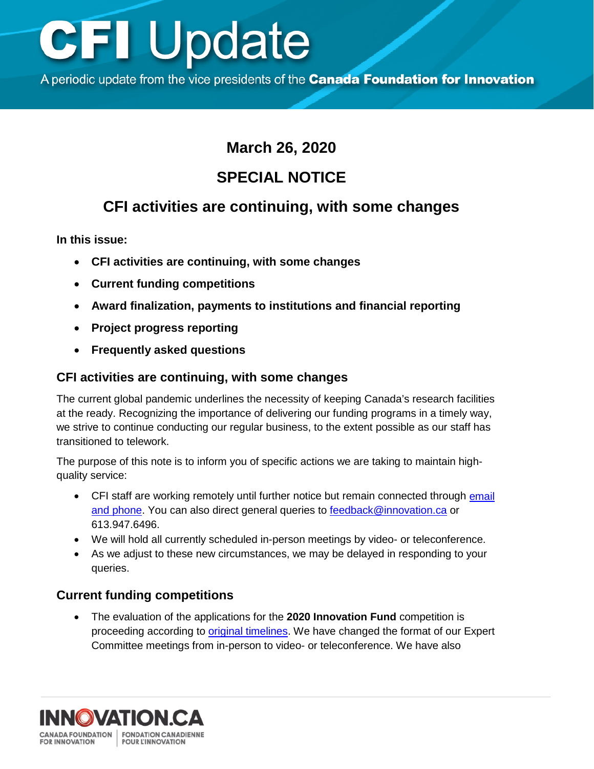## **CFI Update**

A periodic update from the vice presidents of the Canada Foundation for Innovation

## **March 26, 2020**

## **SPECIAL NOTICE**

## **CFI activities are continuing, with some changes**

**In this issue:**

- **CFI activities are continuing, with some changes**
- **Current funding competitions**
- **Award finalization, payments to institutions and financial reporting**
- **Project progress reporting**
- **Frequently asked questions**

#### **CFI activities are continuing, with some changes**

The current global pandemic underlines the necessity of keeping Canada's research facilities at the ready. Recognizing the importance of delivering our funding programs in a timely way, we strive to continue conducting our regular business, to the extent possible as our staff has transitioned to telework.

The purpose of this note is to inform you of specific actions we are taking to maintain highquality service:

- CFI staff are working remotely until further notice but remain connected through email [and phone.](https://www.innovation.ca/about/contact/address-and-directory) You can also direct general queries to [feedback@innovation.ca](mailto:feedback@innovation.ca) or 613.947.6496.
- We will hold all currently scheduled in-person meetings by video- or teleconference.
- As we adjust to these new circumstances, we may be delayed in responding to your queries.

#### **Current funding competitions**

• The evaluation of the applications for the **2020 Innovation Fund** competition is proceeding according to [original timelines.](https://www.innovation.ca/awards/innovation-fund) We have changed the format of our Expert Committee meetings from in-person to video- or teleconference. We have also